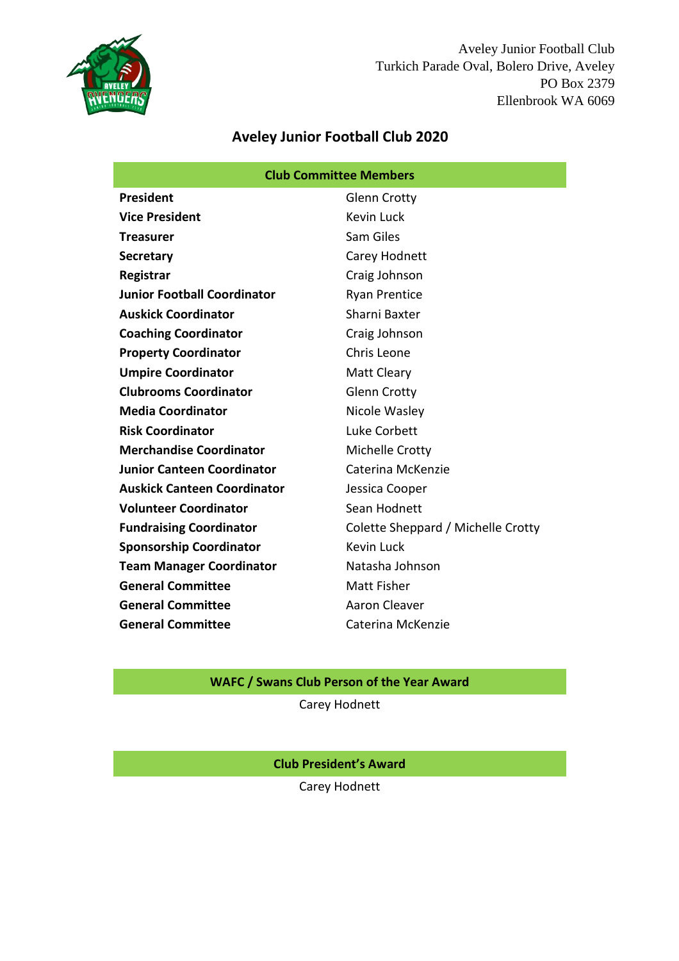

Aveley Junior Football Club Turkich Parade Oval, Bolero Drive, Aveley PO Box 2379 Ellenbrook WA 6069

# **Aveley Junior Football Club 2020**

| <b>Club Committee Members</b>      |                                    |  |
|------------------------------------|------------------------------------|--|
| President                          | <b>Glenn Crotty</b>                |  |
| <b>Vice President</b>              | Kevin Luck                         |  |
| <b>Treasurer</b>                   | Sam Giles                          |  |
| <b>Secretary</b>                   | Carey Hodnett                      |  |
| Registrar                          | Craig Johnson                      |  |
| <b>Junior Football Coordinator</b> | <b>Ryan Prentice</b>               |  |
| <b>Auskick Coordinator</b>         | Sharni Baxter                      |  |
| <b>Coaching Coordinator</b>        | Craig Johnson                      |  |
| <b>Property Coordinator</b>        | Chris Leone                        |  |
| <b>Umpire Coordinator</b>          | Matt Cleary                        |  |
| <b>Clubrooms Coordinator</b>       | <b>Glenn Crotty</b>                |  |
| <b>Media Coordinator</b>           | Nicole Wasley                      |  |
| <b>Risk Coordinator</b>            | Luke Corbett                       |  |
| <b>Merchandise Coordinator</b>     | Michelle Crotty                    |  |
| <b>Junior Canteen Coordinator</b>  | Caterina McKenzie                  |  |
| <b>Auskick Canteen Coordinator</b> | Jessica Cooper                     |  |
| <b>Volunteer Coordinator</b>       | Sean Hodnett                       |  |
| <b>Fundraising Coordinator</b>     | Colette Sheppard / Michelle Crotty |  |
| <b>Sponsorship Coordinator</b>     | <b>Kevin Luck</b>                  |  |
| <b>Team Manager Coordinator</b>    | Natasha Johnson                    |  |
| <b>General Committee</b>           | Matt Fisher                        |  |
| <b>General Committee</b>           | Aaron Cleaver                      |  |
| <b>General Committee</b>           | Caterina McKenzie                  |  |

## **WAFC / Swans Club Person of the Year Award**

Carey Hodnett

**Club President's Award**

Carey Hodnett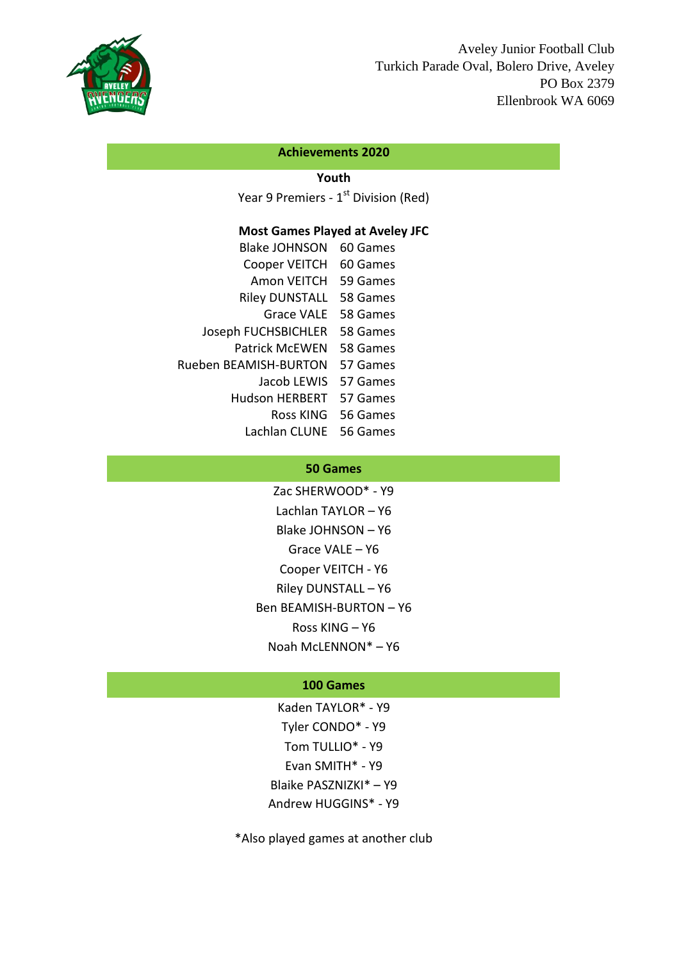

#### **Achievements 2020**

## **Youth**

Year 9 Premiers - 1<sup>st</sup> Division (Red)

## **Most Games Played at Aveley JFC**

| <b>Blake JOHNSON</b>  | 60 Games |
|-----------------------|----------|
| Cooper VEITCH         | 60 Games |
| Amon VEITCH           | 59 Games |
| <b>Riley DUNSTALL</b> | 58 Games |
| <b>Grace VALE</b>     | 58 Games |
| Joseph FUCHSBICHLER   | 58 Games |
| <b>Patrick McEWEN</b> | 58 Games |
| Rueben BEAMISH-BURTON | 57 Games |
| Jacob LEWIS           | 57 Games |
| <b>Hudson HERBERT</b> | 57 Games |
| Ross KING             | 56 Games |
| Lachlan CLUNE         | 56 Games |

#### **50 Games**

Zac SHERWOOD\* - Y9 Lachlan TAYLOR – Y6 Blake JOHNSON – Y6 Grace VALE – Y6 Cooper VEITCH - Y6 Riley DUNSTALL – Y6 Ben BEAMISH-BURTON – Y6 Ross KING – Y6 Noah McLENNON\* – Y6

### **100 Games**

Kaden TAYLOR\* - Y9 Tyler CONDO\* - Y9 Tom TULLIO\* - Y9 Evan SMITH\* - Y9 Blaike PASZNIZKI\* – Y9 Andrew HUGGINS\* - Y9

\*Also played games at another club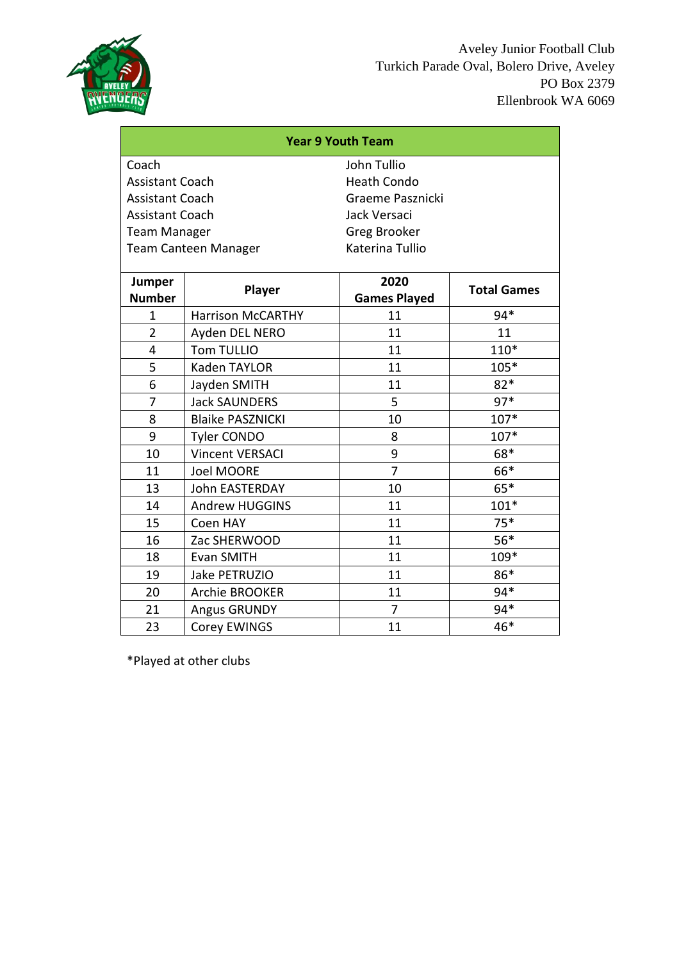

| <b>Year 9 Youth Team</b> |                             |                     |                    |  |
|--------------------------|-----------------------------|---------------------|--------------------|--|
| Coach                    |                             | John Tullio         |                    |  |
| <b>Assistant Coach</b>   |                             | <b>Heath Condo</b>  |                    |  |
| <b>Assistant Coach</b>   |                             | Graeme Pasznicki    |                    |  |
| <b>Assistant Coach</b>   |                             | Jack Versaci        |                    |  |
| <b>Team Manager</b>      |                             | Greg Brooker        |                    |  |
|                          | <b>Team Canteen Manager</b> | Katerina Tullio     |                    |  |
| Jumper                   |                             | 2020                |                    |  |
| <b>Number</b>            | Player                      | <b>Games Played</b> | <b>Total Games</b> |  |
| $\mathbf{1}$             | <b>Harrison McCARTHY</b>    | 11                  | 94*                |  |
| $\overline{2}$           | Ayden DEL NERO              | 11                  | 11                 |  |
| 4                        | Tom TULLIO                  | 11                  | $110*$             |  |
| 5                        | Kaden TAYLOR                | 11                  | $105*$             |  |
| 6                        | Jayden SMITH                | 11                  | $82*$              |  |
| 7                        | <b>Jack SAUNDERS</b>        | 5                   | $97*$              |  |
| 8                        | <b>Blaike PASZNICKI</b>     | 10                  | 107*               |  |
| 9                        | <b>Tyler CONDO</b>          | 8                   | $107*$             |  |
| 10                       | <b>Vincent VERSACI</b>      | 9                   | 68*                |  |
| 11                       | Joel MOORE                  | $\overline{7}$      | 66*                |  |
| 13                       | John EASTERDAY              | 10                  | $65*$              |  |
| 14                       | <b>Andrew HUGGINS</b>       | 11                  | $101*$             |  |
| 15                       | Coen HAY                    | 11                  | $75*$              |  |
| 16                       | Zac SHERWOOD                | 11                  | $56*$              |  |
| 18                       | Evan SMITH                  | 11                  | 109*               |  |
| 19                       | Jake PETRUZIO               | 11                  | 86*                |  |
| 20                       | <b>Archie BROOKER</b>       | 11                  | 94*                |  |
| 21                       | <b>Angus GRUNDY</b>         | $\overline{7}$      | 94*                |  |
| 23                       | Corey EWINGS                | 11                  | 46*                |  |

\*Played at other clubs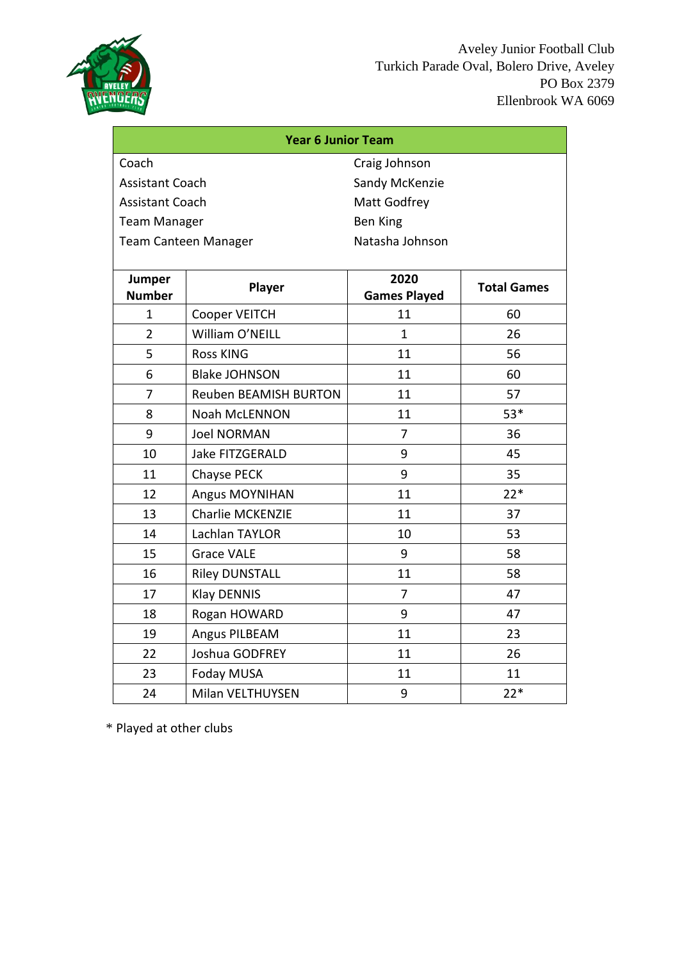

| <b>Year 6 Junior Team</b> |                              |                             |                    |  |
|---------------------------|------------------------------|-----------------------------|--------------------|--|
| Coach                     |                              | Craig Johnson               |                    |  |
| <b>Assistant Coach</b>    |                              | Sandy McKenzie              |                    |  |
| <b>Assistant Coach</b>    |                              | Matt Godfrey                |                    |  |
| <b>Team Manager</b>       |                              | <b>Ben King</b>             |                    |  |
|                           | <b>Team Canteen Manager</b>  | Natasha Johnson             |                    |  |
|                           |                              |                             |                    |  |
| Jumper<br><b>Number</b>   | Player                       | 2020<br><b>Games Played</b> | <b>Total Games</b> |  |
| 1                         | Cooper VEITCH                | 11                          | 60                 |  |
| $\overline{2}$            | William O'NEILL              | $\mathbf{1}$                | 26                 |  |
| 5                         | <b>Ross KING</b>             | 11                          | 56                 |  |
| 6                         | <b>Blake JOHNSON</b>         | 11                          | 60                 |  |
| $\overline{7}$            | <b>Reuben BEAMISH BURTON</b> | 11                          | 57                 |  |
| 8                         | Noah McLENNON                | 11                          | $53*$              |  |
| 9                         | <b>Joel NORMAN</b>           | 7                           | 36                 |  |
| 10                        | Jake FITZGERALD              | 9                           | 45                 |  |
| 11                        | Chayse PECK                  | 9                           | 35                 |  |
| 12                        | <b>Angus MOYNIHAN</b>        | 11                          | $22*$              |  |
| 13                        | Charlie MCKENZIE             | 11                          | 37                 |  |
| 14                        | Lachlan TAYLOR               | 10                          | 53                 |  |
| 15                        | <b>Grace VALE</b>            | 9                           | 58                 |  |
| 16                        | <b>Riley DUNSTALL</b>        | 11                          | 58                 |  |
| 17                        | <b>Klay DENNIS</b>           | $\overline{7}$              | 47                 |  |
| 18                        | Rogan HOWARD                 | 9                           | 47                 |  |
| 19                        | Angus PILBEAM                | 11                          | 23                 |  |
| 22                        | Joshua GODFREY               | 11                          | 26                 |  |
| 23                        | Foday MUSA                   | 11                          | 11                 |  |
| 24                        | Milan VELTHUYSEN             | 9                           | $22*$              |  |

\* Played at other clubs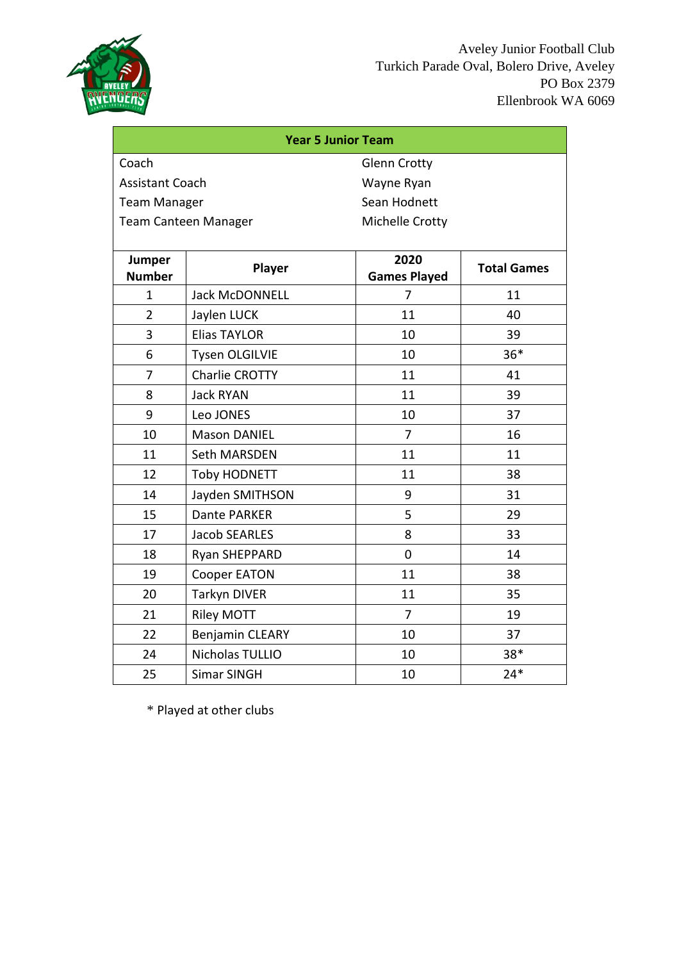

| <b>Year 5 Junior Team</b>            |                             |                             |                    |  |
|--------------------------------------|-----------------------------|-----------------------------|--------------------|--|
| Coach<br><b>Glenn Crotty</b>         |                             |                             |                    |  |
| <b>Assistant Coach</b><br>Wayne Ryan |                             |                             |                    |  |
| <b>Team Manager</b>                  |                             | Sean Hodnett                |                    |  |
|                                      | <b>Team Canteen Manager</b> | Michelle Crotty             |                    |  |
|                                      |                             |                             |                    |  |
| Jumper<br><b>Number</b>              | Player                      | 2020<br><b>Games Played</b> | <b>Total Games</b> |  |
| $\mathbf{1}$                         | <b>Jack McDONNELL</b>       | 7                           | 11                 |  |
| $\overline{2}$                       | Jaylen LUCK                 | 11                          | 40                 |  |
| 3                                    | <b>Elias TAYLOR</b>         | 10                          | 39                 |  |
| 6                                    | <b>Tysen OLGILVIE</b>       | 10                          | $36*$              |  |
| $\overline{7}$                       | <b>Charlie CROTTY</b>       | 11                          | 41                 |  |
| 8                                    | <b>Jack RYAN</b>            | 11                          | 39                 |  |
| 9                                    | Leo JONES                   | 10                          | 37                 |  |
| 10                                   | <b>Mason DANIEL</b>         | $\overline{7}$              | 16                 |  |
| 11                                   | <b>Seth MARSDEN</b>         | 11                          | 11                 |  |
| 12                                   | <b>Toby HODNETT</b>         | 11                          | 38                 |  |
| 14                                   | Jayden SMITHSON             | 9                           | 31                 |  |
| 15                                   | Dante PARKER                | 5                           | 29                 |  |
| 17                                   | <b>Jacob SEARLES</b>        | 8                           | 33                 |  |
| 18                                   | Ryan SHEPPARD               | $\mathbf 0$                 | 14                 |  |
| 19                                   | Cooper EATON                | 11                          | 38                 |  |
| 20                                   | <b>Tarkyn DIVER</b>         | 11                          | 35                 |  |
| 21                                   | <b>Riley MOTT</b>           | $\overline{7}$              | 19                 |  |
| 22                                   | <b>Benjamin CLEARY</b>      | 10                          | 37                 |  |
| 24                                   | Nicholas TULLIO             | 10                          | 38*                |  |
| 25                                   | <b>Simar SINGH</b>          | 10                          | $24*$              |  |

\* Played at other clubs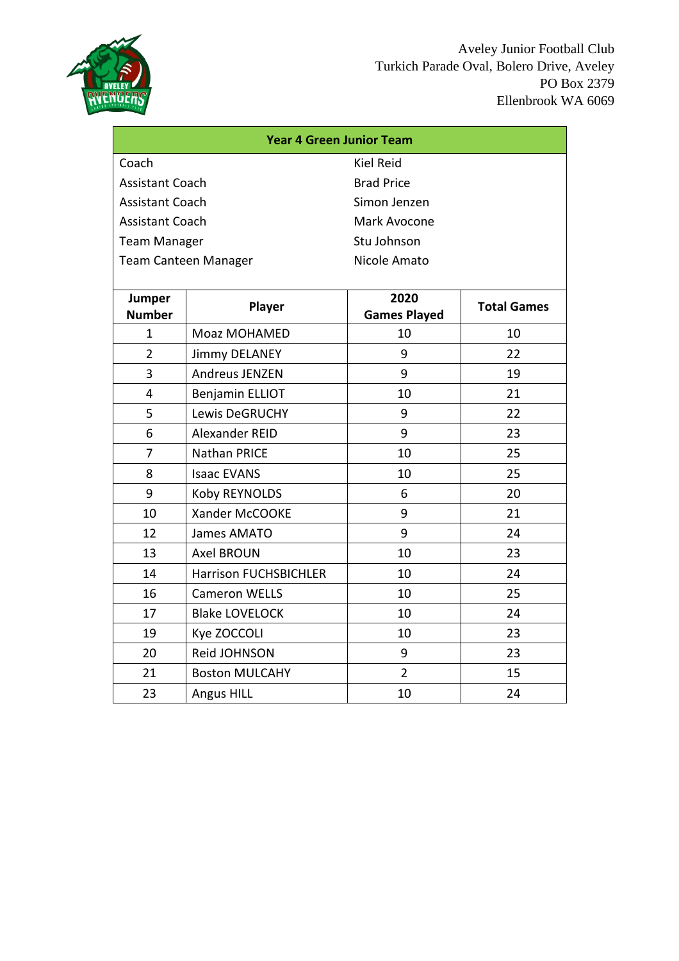

| <b>Year 4 Green Junior Team</b> |                              |                            |    |
|---------------------------------|------------------------------|----------------------------|----|
| <b>Kiel Reid</b><br>Coach       |                              |                            |    |
| <b>Assistant Coach</b>          |                              | <b>Brad Price</b>          |    |
| <b>Assistant Coach</b>          |                              | Simon Jenzen               |    |
| <b>Assistant Coach</b>          |                              | Mark Avocone               |    |
| <b>Team Manager</b>             |                              | Stu Johnson                |    |
|                                 | <b>Team Canteen Manager</b>  | Nicole Amato               |    |
|                                 |                              |                            |    |
| <b>Jumper</b>                   | Player                       | 2020<br><b>Total Games</b> |    |
| <b>Number</b>                   |                              | <b>Games Played</b>        |    |
| $\mathbf{1}$                    | Moaz MOHAMED                 | 10                         | 10 |
| $\overline{2}$                  | <b>Jimmy DELANEY</b>         | 9                          | 22 |
| 3                               | Andreus JENZEN               | 9                          | 19 |
| 4                               | <b>Benjamin ELLIOT</b>       | 10                         | 21 |
| 5                               | <b>Lewis DeGRUCHY</b>        | 9                          | 22 |
| 6                               | Alexander REID               | 9                          | 23 |
| 7                               | Nathan PRICE                 | 10                         | 25 |
| 8                               | <b>Isaac EVANS</b>           | 10                         | 25 |
| 9                               | Koby REYNOLDS                | 6                          | 20 |
| 10                              | Xander McCOOKE               | 9                          | 21 |
| 12                              | James AMATO                  | 9                          | 24 |
| 13                              | <b>Axel BROUN</b>            | 10                         | 23 |
| 14                              | <b>Harrison FUCHSBICHLER</b> | 10                         | 24 |
| 16                              | <b>Cameron WELLS</b>         | 10                         | 25 |
| 17                              | <b>Blake LOVELOCK</b>        | 10                         | 24 |
| 19                              | Kye ZOCCOLI                  | 10                         | 23 |
| 20                              | Reid JOHNSON                 | 9                          | 23 |
| 21                              | <b>Boston MULCAHY</b>        | $\overline{2}$             | 15 |
| 23                              | <b>Angus HILL</b>            | 10                         | 24 |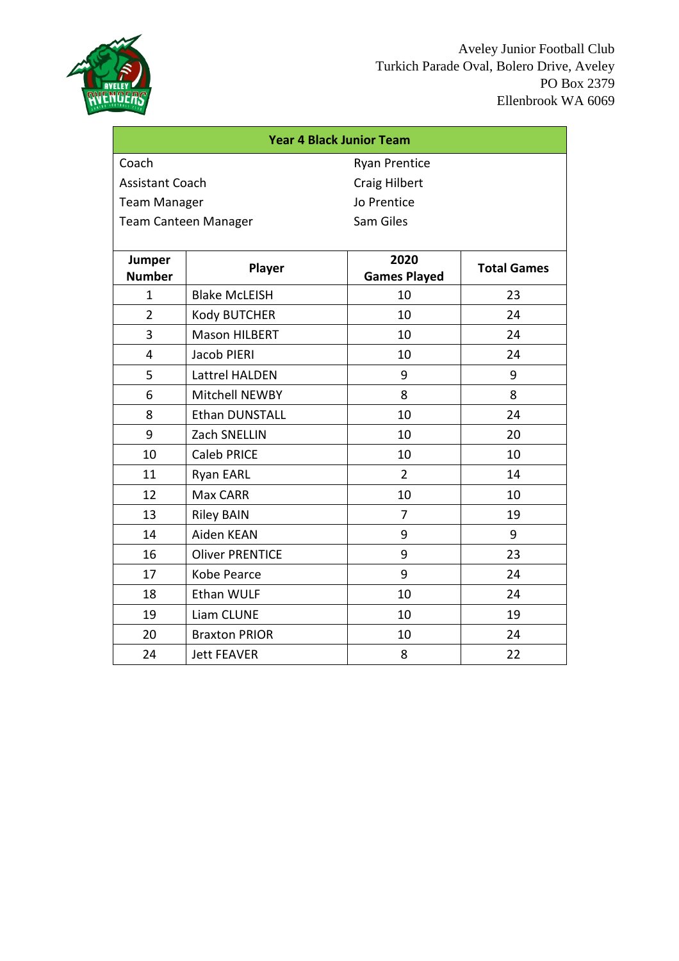

| <b>Year 4 Black Junior Team</b>                |                             |                      |                    |  |
|------------------------------------------------|-----------------------------|----------------------|--------------------|--|
| Coach                                          |                             | <b>Ryan Prentice</b> |                    |  |
| <b>Assistant Coach</b><br><b>Craig Hilbert</b> |                             |                      |                    |  |
| <b>Team Manager</b>                            |                             | Jo Prentice          |                    |  |
|                                                | <b>Team Canteen Manager</b> | Sam Giles            |                    |  |
|                                                |                             |                      |                    |  |
| Jumper                                         | Player                      |                      | <b>Total Games</b> |  |
| <b>Number</b>                                  |                             | <b>Games Played</b>  |                    |  |
| 1                                              | <b>Blake McLEISH</b>        | 10                   | 23                 |  |
| $\overline{2}$                                 | Kody BUTCHER                | 10                   | 24                 |  |
| 3                                              | <b>Mason HILBERT</b>        | 10                   | 24                 |  |
| 4                                              | Jacob PIERI                 | 10                   | 24                 |  |
| 5                                              | Lattrel HALDEN              | 9                    | 9                  |  |
| 6                                              | Mitchell NEWBY              | 8                    | 8                  |  |
| 8                                              | <b>Ethan DUNSTALL</b>       | 10                   | 24                 |  |
| 9                                              | Zach SNELLIN                | 10                   | 20                 |  |
| 10                                             | <b>Caleb PRICE</b>          | 10                   | 10                 |  |
| 11                                             | Ryan EARL                   | $\overline{2}$       | 14                 |  |
| 12                                             | Max CARR                    | 10                   | 10                 |  |
| 13                                             | <b>Riley BAIN</b>           | $\overline{7}$       | 19                 |  |
| 14                                             | Aiden KEAN                  | 9                    | 9                  |  |
| 16                                             | <b>Oliver PRENTICE</b>      | 9                    | 23                 |  |
| 17                                             | Kobe Pearce                 | 9                    | 24                 |  |
| 18                                             | Ethan WULF                  | 10                   | 24                 |  |
| 19                                             | Liam CLUNE                  | 10                   | 19                 |  |
| 20                                             | <b>Braxton PRIOR</b>        | 10                   | 24                 |  |
| 24                                             | <b>Jett FEAVER</b>          | 8                    | 22                 |  |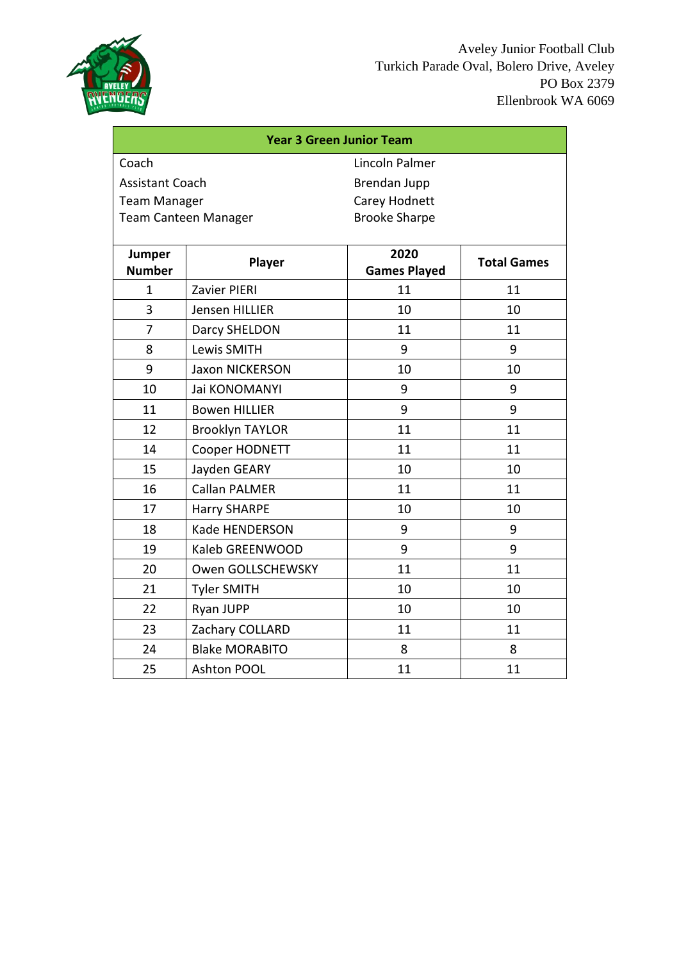

| <b>Year 3 Green Junior Team</b>        |                             |                      |                    |  |
|----------------------------------------|-----------------------------|----------------------|--------------------|--|
| Coach<br>Lincoln Palmer                |                             |                      |                    |  |
| <b>Assistant Coach</b><br>Brendan Jupp |                             |                      |                    |  |
| <b>Team Manager</b>                    |                             | Carey Hodnett        |                    |  |
|                                        | <b>Team Canteen Manager</b> | <b>Brooke Sharpe</b> |                    |  |
|                                        |                             |                      |                    |  |
| Jumper                                 | Player                      | 2020                 | <b>Total Games</b> |  |
| <b>Number</b>                          |                             | <b>Games Played</b>  |                    |  |
| $\mathbf{1}$                           | Zavier PIERI                | 11                   | 11                 |  |
| 3                                      | Jensen HILLIER              | 10                   | 10                 |  |
| 7                                      | Darcy SHELDON               | 11                   | 11                 |  |
| 8                                      | Lewis SMITH                 | 9                    | 9                  |  |
| 9                                      | <b>Jaxon NICKERSON</b>      | 10                   | 10                 |  |
| 10                                     | Jai KONOMANYI               | 9                    | 9                  |  |
| 11                                     | <b>Bowen HILLIER</b>        | 9                    | 9                  |  |
| 12                                     | <b>Brooklyn TAYLOR</b>      | 11                   | 11                 |  |
| 14                                     | Cooper HODNETT              | 11                   | 11                 |  |
| 15                                     | Jayden GEARY                | 10                   | 10                 |  |
| 16                                     | <b>Callan PALMER</b>        | 11                   | 11                 |  |
| 17                                     | <b>Harry SHARPE</b>         | 10                   | 10                 |  |
| 18                                     | Kade HENDERSON              | 9                    | 9                  |  |
| 19                                     | Kaleb GREENWOOD             | 9                    | 9                  |  |
| 20                                     | Owen GOLLSCHEWSKY           | 11                   | 11                 |  |
| 21                                     | <b>Tyler SMITH</b>          | 10                   | 10                 |  |
| 22                                     | Ryan JUPP                   | 10                   | 10                 |  |
| 23                                     | Zachary COLLARD             | 11                   | 11                 |  |
| 24                                     | <b>Blake MORABITO</b>       | 8                    | 8                  |  |
| 25                                     | <b>Ashton POOL</b>          | 11                   | 11                 |  |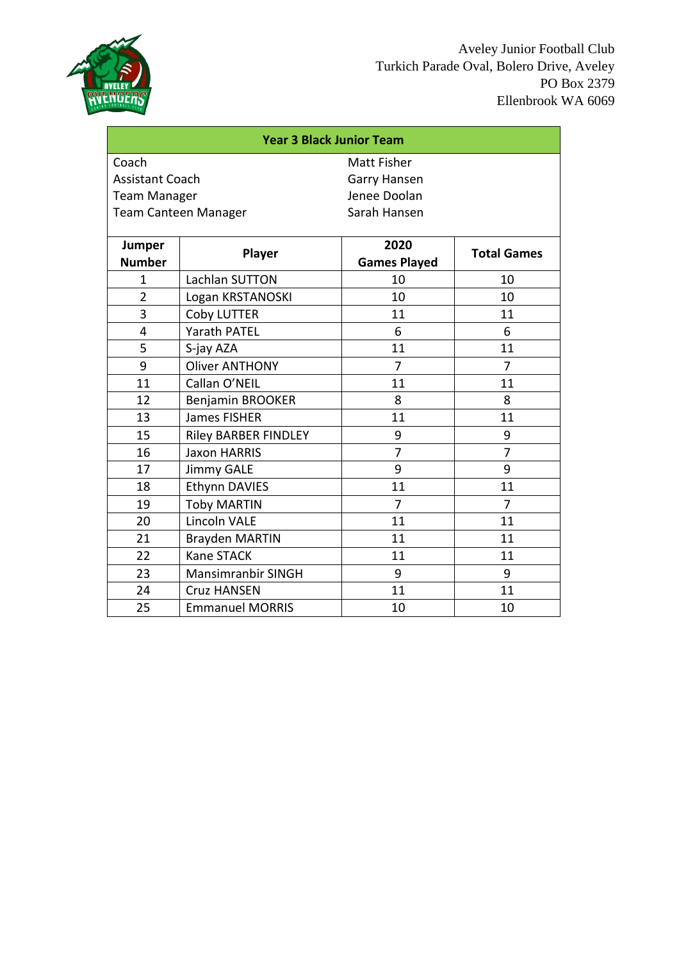

| <b>Year 3 Black Junior Team</b> |                             |                     |                    |
|---------------------------------|-----------------------------|---------------------|--------------------|
| Coach                           |                             | Matt Fisher         |                    |
| <b>Assistant Coach</b>          |                             | Garry Hansen        |                    |
| <b>Team Manager</b>             |                             | Jenee Doolan        |                    |
|                                 | <b>Team Canteen Manager</b> | Sarah Hansen        |                    |
|                                 |                             |                     |                    |
| Jumper                          | Player                      | 2020                | <b>Total Games</b> |
| <b>Number</b>                   |                             | <b>Games Played</b> |                    |
| 1                               | Lachlan SUTTON              | 10                  | 10                 |
| $\overline{2}$                  | Logan KRSTANOSKI            | 10                  | 10                 |
| $\overline{3}$                  | Coby LUTTER                 | 11                  | 11                 |
| 4                               | <b>Yarath PATEL</b>         | 6                   | 6                  |
| 5                               | S-jay AZA                   | 11                  | 11                 |
| 9                               | <b>Oliver ANTHONY</b>       | 7                   | $\overline{7}$     |
| 11                              | Callan O'NEIL               | 11                  | 11                 |
| 12                              | Benjamin BROOKER            | 8                   | 8                  |
| 13                              | <b>James FISHER</b>         | 11                  | 11                 |
| 15                              | <b>Riley BARBER FINDLEY</b> | 9                   | 9                  |
| 16                              | <b>Jaxon HARRIS</b>         | $\overline{7}$      | $\overline{7}$     |
| 17                              | <b>Jimmy GALE</b>           | 9                   | 9                  |
| 18                              | Ethynn DAVIES               | 11                  | 11                 |
| 19                              | <b>Toby MARTIN</b>          | $\overline{7}$      | $\overline{7}$     |
| 20                              | <b>Lincoln VALE</b>         | 11                  | 11                 |
| 21                              | <b>Brayden MARTIN</b>       | 11                  | 11                 |
| 22                              | Kane STACK                  | 11                  | 11                 |
| 23                              | <b>Mansimranbir SINGH</b>   | 9                   | 9                  |
| 24                              | <b>Cruz HANSEN</b>          | 11                  | 11                 |
| 25                              | <b>Emmanuel MORRIS</b>      | 10                  | 10                 |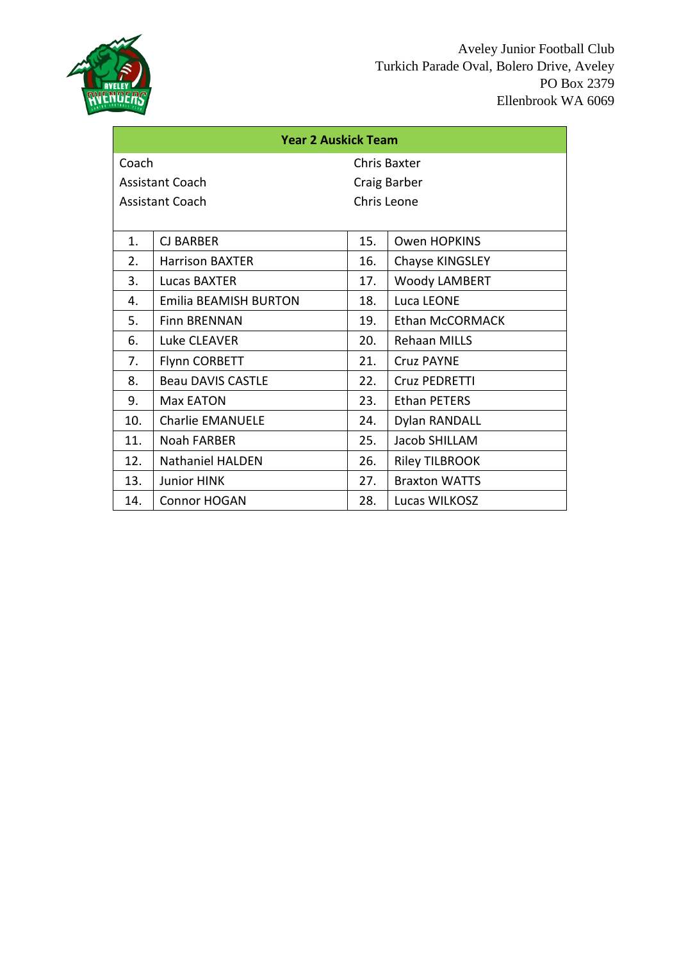

| <b>Year 2 Auskick Team</b> |                              |              |                        |
|----------------------------|------------------------------|--------------|------------------------|
| Coach                      |                              | Chris Baxter |                        |
|                            | <b>Assistant Coach</b>       |              | Craig Barber           |
|                            | <b>Assistant Coach</b>       | Chris Leone  |                        |
|                            |                              |              |                        |
| 1.                         | <b>CJ BARBER</b>             | 15.          | <b>Owen HOPKINS</b>    |
| 2.                         | <b>Harrison BAXTER</b>       | 16.          | Chayse KINGSLEY        |
| 3.                         | Lucas BAXTER                 | 17.          | <b>Woody LAMBERT</b>   |
| 4.                         | <b>Emilia BEAMISH BURTON</b> | 18.          | Luca LEONE             |
| 5.                         | <b>Finn BRENNAN</b>          | 19.          | <b>Ethan McCORMACK</b> |
| 6.                         | Luke CLEAVER                 | 20.          | <b>Rehaan MILLS</b>    |
| 7.                         | <b>Flynn CORBETT</b>         | 21.          | <b>Cruz PAYNE</b>      |
| 8.                         | <b>Beau DAVIS CASTLE</b>     | 22.          | Cruz PEDRETTI          |
| 9.                         | Max EATON                    | 23.          | <b>Ethan PETERS</b>    |
| 10.                        | <b>Charlie EMANUELE</b>      | 24.          | Dylan RANDALL          |
| 11.                        | Noah FARBER                  | 25.          | Jacob SHILLAM          |
| 12.                        | <b>Nathaniel HALDEN</b>      | 26.          | <b>Riley TILBROOK</b>  |
| 13.                        | <b>Junior HINK</b>           | 27.          | <b>Braxton WATTS</b>   |
| 14.                        | <b>Connor HOGAN</b>          | 28.          | Lucas WILKOSZ          |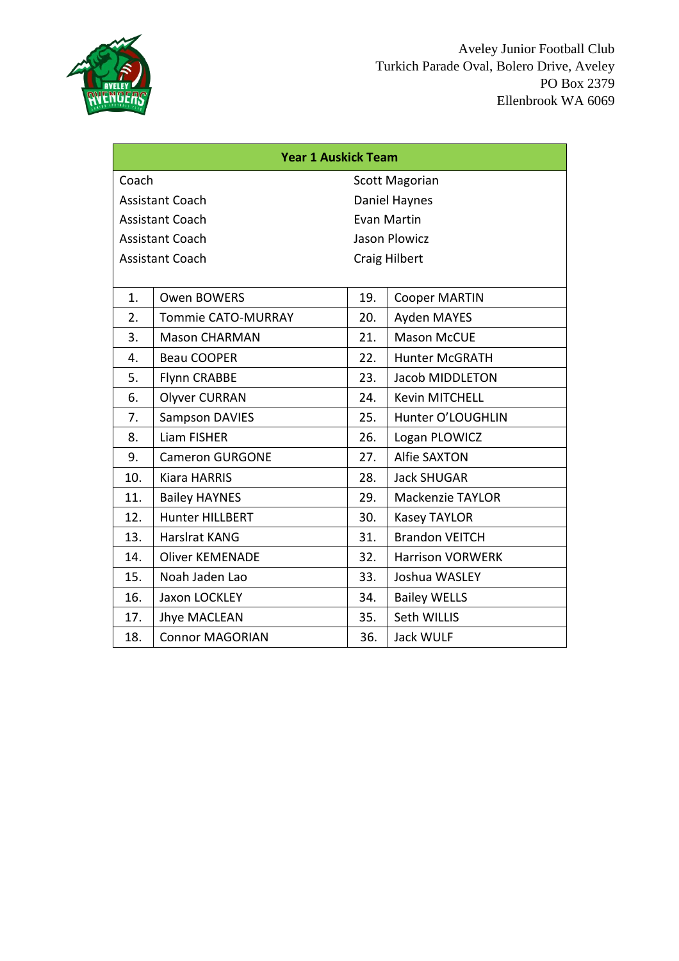

| <b>Year 1 Auskick Team</b>     |                           |     |                         |
|--------------------------------|---------------------------|-----|-------------------------|
| Coach<br><b>Scott Magorian</b> |                           |     |                         |
|                                | <b>Assistant Coach</b>    |     | Daniel Haynes           |
|                                | <b>Assistant Coach</b>    |     | Evan Martin             |
|                                | <b>Assistant Coach</b>    |     | <b>Jason Plowicz</b>    |
|                                | <b>Assistant Coach</b>    |     | <b>Craig Hilbert</b>    |
|                                |                           |     |                         |
| 1.                             | <b>Owen BOWERS</b>        | 19. | <b>Cooper MARTIN</b>    |
| 2.                             | <b>Tommie CATO-MURRAY</b> | 20. | Ayden MAYES             |
| 3.                             | <b>Mason CHARMAN</b>      | 21. | <b>Mason McCUE</b>      |
| 4.                             | <b>Beau COOPER</b>        | 22. | <b>Hunter McGRATH</b>   |
| 5.                             | Flynn CRABBE              | 23. | Jacob MIDDLETON         |
| 6.                             | <b>Olyver CURRAN</b>      | 24. | Kevin MITCHELL          |
| 7.                             | <b>Sampson DAVIES</b>     | 25. | Hunter O'LOUGHLIN       |
| 8.                             | <b>Liam FISHER</b>        | 26. | Logan PLOWICZ           |
| 9.                             | <b>Cameron GURGONE</b>    | 27. | <b>Alfie SAXTON</b>     |
| 10.                            | <b>Kiara HARRIS</b>       | 28. | <b>Jack SHUGAR</b>      |
| 11.                            | <b>Bailey HAYNES</b>      | 29. | <b>Mackenzie TAYLOR</b> |
| 12.                            | Hunter HILLBERT           | 30. | <b>Kasey TAYLOR</b>     |
| 13.                            | Harslrat KANG             | 31. | <b>Brandon VEITCH</b>   |
| 14.                            | <b>Oliver KEMENADE</b>    | 32. | Harrison VORWERK        |
| 15.                            | Noah Jaden Lao            | 33. | Joshua WASLEY           |
| 16.                            | Jaxon LOCKLEY             | 34. | <b>Bailey WELLS</b>     |
| 17.                            | <b>Jhye MACLEAN</b>       | 35. | Seth WILLIS             |
| 18.                            | <b>Connor MAGORIAN</b>    | 36. | Jack WULF               |